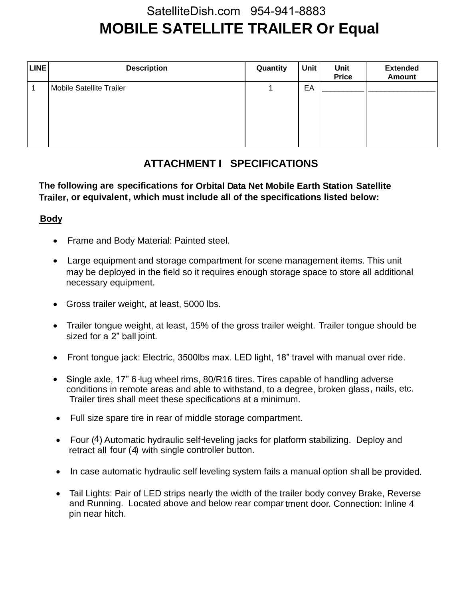# **MOBILE SATELLITE TRAILER Or Equal** SatelliteDish.com 954-941-8883

| LINE | <b>Description</b>       | Quantity | <b>Unit</b> | Unit<br><b>Price</b> | <b>Extended</b><br><b>Amount</b> |
|------|--------------------------|----------|-------------|----------------------|----------------------------------|
|      | Mobile Satellite Trailer |          | EA          |                      |                                  |

### **ATTACHMENT I SPECIFICATIONS**

**The following are specifications for Orbital Data Net Mobile Earth Station Satellite Trailer, or equivalent, which must include all of the specifications listed below:**

#### **Body**

- Frame and Body Material: Painted steel.
- Large equipment and storage compartment for scene management items. This unit may be deployed in the field so it requires enough storage space to store all additional necessary equipment.
- Gross trailer weight, at least, 5000 lbs.
- Trailer tongue weight, at least, 15% of the gross trailer weight. Trailer tongue should be sized for a 2" ball joint.
- Front tongue jack: Electric, 3500lbs max. LED light, 18" travel with manual over ride.
- Single axle, 17" 6-lug wheel rims, 80/R16 tires. Tires capable of handling adverse conditions in remote areas and able to withstand, to a degree, broken glass, nails, etc. Trailer tires shall meet these specifications at a minimum.
- Full size spare tire in rear of middle storage compartment.
- Four (4) Automatic hydraulic self-leveling jacks for platform stabilizing. Deploy and retract all four (4) with single controller button.
- In case automatic hydraulic self leveling system fails a manual option shall be provided.
- Tail Lights: Pair of LED strips nearly the width of the trailer body convey Brake, Reverse and Running. Located above and below rear compar tment door. Connection: Inline 4 pin near hitch.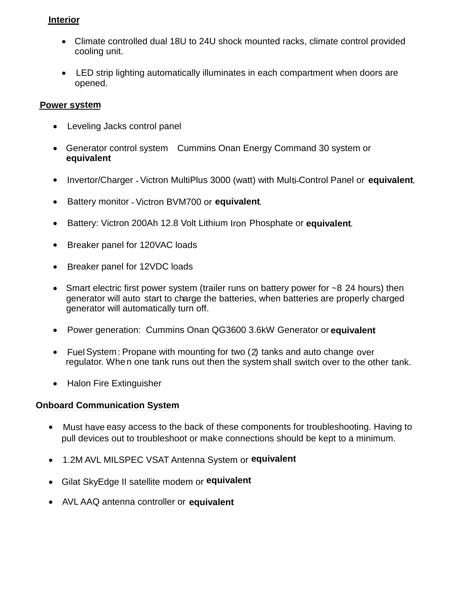#### **Interior**

- Climate controlled dual 18U to 24U shock mounted racks, climate control provided cooling unit.
- LED strip lighting automatically illuminates in each compartment when doors are opened.

#### **Power system**

- Leveling Jacks control panel
- Generator control system Cummins Onan Energy Command 30 system or **equivalent**
- Invertor/Charger Victron MultiPlus 3000 (watt) with Multi-Control Panel or **equivalent**.
- Battery monitor Victron BVM700 or **equivalent**.
- **Battery: Victron 200Ah 12.8 Volt Lithium Iron Phosphate or equivalent.**
- Breaker panel for 120VAC loads
- Breaker panel for 12VDC loads
- Smart electric first power system (trailer runs on battery power for ~8 24 hours) then generator will auto start to charge the batteries, when batteries are properly charged generator will automatically turn off.
- Power generation: Cummins Onan QG3600 3.6kW Generator or **equivalent**
- Fuel System: Propane with mounting for two (2) tanks and auto change over regulator. Whe n one tank runs out then the system shall switch over to the other tank.
- Halon Fire Extinguisher

#### **Onboard Communication System**

- Must have easy access to the back of these components for troubleshooting. Having to pull devices out to troubleshoot or make connections should be kept to a minimum.
- 1.2M AVL MILSPEC VSAT Antenna System or **equivalent**.
- Gilat SkyEdge II satellite modem or **equivalent**
- AVL AAQ antenna controller or **equivalent**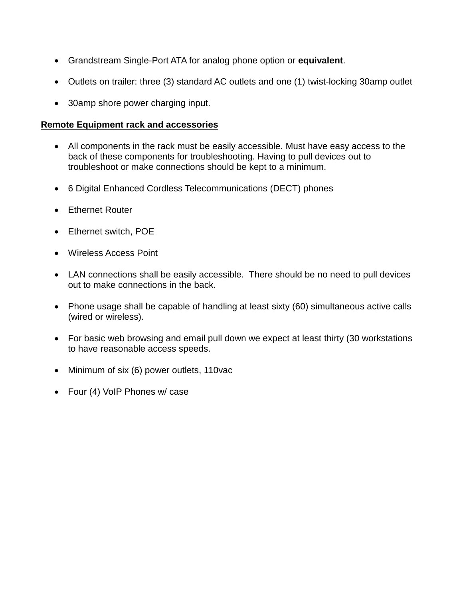- Grandstream Single-Port ATA for analog phone option or **equivalent**.
- Outlets on trailer: three (3) standard AC outlets and one (1) twist-locking 30amp outlet
- 30amp shore power charging input.

#### **Remote Equipment rack and accessories**

- All components in the rack must be easily accessible. Must have easy access to the back of these components for troubleshooting. Having to pull devices out to troubleshoot or make connections should be kept to a minimum.
- 6 Digital Enhanced Cordless Telecommunications (DECT) phones
- Ethernet Router
- Ethernet switch, POE
- Wireless Access Point
- LAN connections shall be easily accessible. There should be no need to pull devices out to make connections in the back.
- Phone usage shall be capable of handling at least sixty (60) simultaneous active calls (wired or wireless).
- For basic web browsing and email pull down we expect at least thirty (30 workstations to have reasonable access speeds.
- Minimum of six (6) power outlets, 110vac
- Four (4) VoIP Phones w/ case